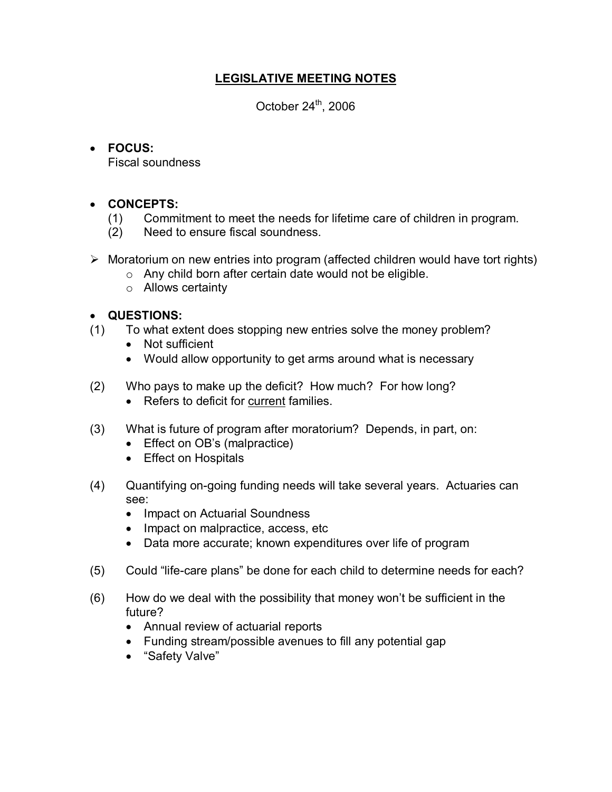# **LEGISLATIVE MEETING NOTES**

October  $24^{\text{th}}$ , 2006

## · **FOCUS:**

Fiscal soundness

## · **CONCEPTS:**

- (1) Commitment to meet the needs for lifetime care of children in program.
- (2) Need to ensure fiscal soundness.
- $\triangleright$  Moratorium on new entries into program (affected children would have tort rights)
	- $\circ$  Any child born after certain date would not be eligible.
	- o Allows certainty

## · **QUESTIONS:**

- (1) To what extent does stopping new entries solve the money problem?
	- · Not sufficient
	- · Would allow opportunity to get arms around what is necessary
- (2) Who pays to make up the deficit? How much? For how long?
	- · Refers to deficit for current families.
- (3) What is future of program after moratorium? Depends, in part, on:
	- Effect on OB's (malpractice)
	- · Effect on Hospitals
- (4) Quantifying on-going funding needs will take several years. Actuaries can see:
	- Impact on Actuarial Soundness
	- Impact on malpractice, access, etc
	- · Data more accurate; known expenditures over life of program
- (5) Could "life-care plans" be done for each child to determine needs for each?
- (6) How do we deal with the possibility that money won't be sufficient in the future?
	- · Annual review of actuarial reports
	- · Funding stream/possible avenues to fill any potential gap
	- · "Safety Valve"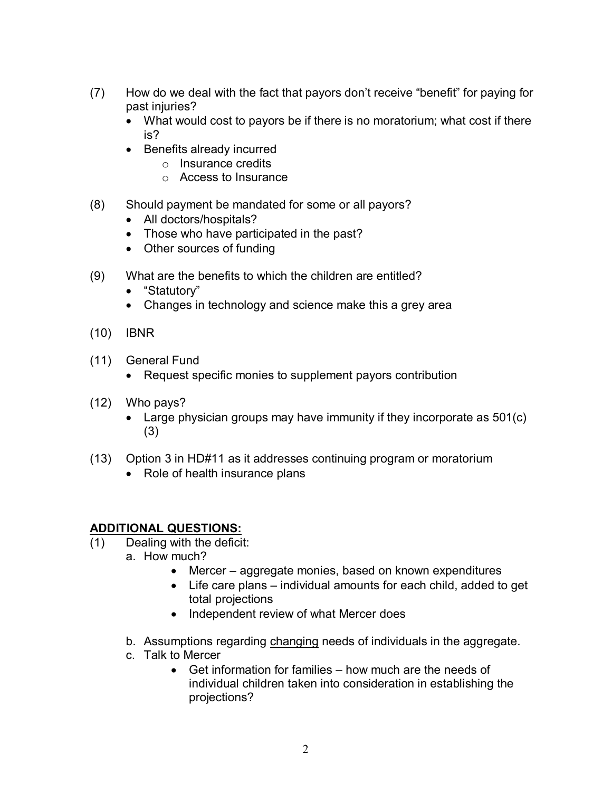- (7) How do we deal with the fact that payors don't receive "benefit" for paying for past injuries?
	- · What would cost to payors be if there is no moratorium; what cost if there is?
	- · Benefits already incurred
		- o Insurance credits
		- o Access to Insurance
- (8) Should payment be mandated for some or all payors?
	- All doctors/hospitals?
	- · Those who have participated in the past?
	- · Other sources of funding
- (9) What are the benefits to which the children are entitled?
	- · "Statutory"
	- Changes in technology and science make this a grey area
- (10) IBNR
- (11) General Fund
	- Request specific monies to supplement payors contribution
- (12) Who pays?
	- Large physician groups may have immunity if they incorporate as 501(c) (3)
- (13) Option 3 in HD#11 as it addresses continuing program or moratorium
	- Role of health insurance plans

## **ADDITIONAL QUESTIONS:**

- (1) Dealing with the deficit:
	- a. How much?
		- Mercer aggregate monies, based on known expenditures
		- · Life care plans individual amounts for each child, added to get total projections
		- · Independent review of what Mercer does
	- b. Assumptions regarding changing needs of individuals in the aggregate.
	- c. Talk to Mercer
		- · Get information for families how much are the needs of individual children taken into consideration in establishing the projections?